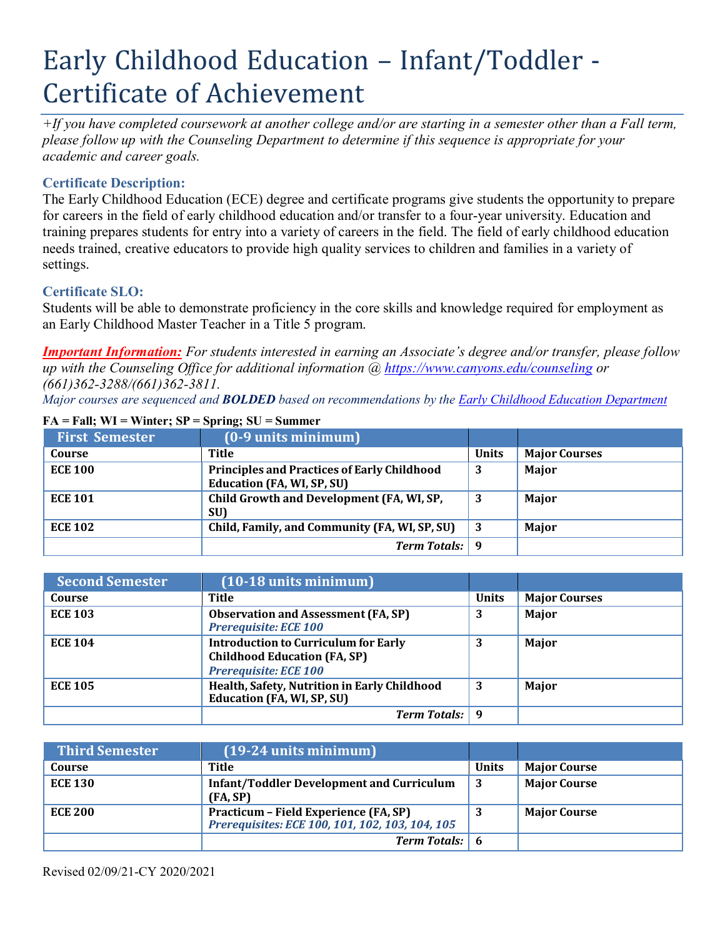# Early Childhood Education – Infant/Toddler - Certificate of Achievement

*+If you have completed coursework at another college and/or are starting in a semester other than a Fall term, please follow up with the Counseling Department to determine if this sequence is appropriate for your academic and career goals.*

## **Certificate Description:**

The Early Childhood Education (ECE) degree and certificate programs give students the opportunity to prepare for careers in the field of early childhood education and/or transfer to a four-year university. Education and training prepares students for entry into a variety of careers in the field. The field of early childhood education needs trained, creative educators to provide high quality services to children and families in a variety of settings.

## **Certificate SLO:**

Students will be able to demonstrate proficiency in the core skills and knowledge required for employment as an Early Childhood Master Teacher in a Title 5 program.

*Important Information: For students interested in earning an Associate's degree and/or transfer, please follow up with the Counseling Office for additional information @ https:/[/www.canyons.edu/counseling](http://www.canyons.edu/counseling) or (661)362-3288/(661)362-3811.*

*Major courses are sequenced and BOLDED based on recommendations by the Early Childhood Education Department*

| <b>First Semester</b> | $(0-9$ units minimum $)$                                                         |              |                      |
|-----------------------|----------------------------------------------------------------------------------|--------------|----------------------|
| Course                | Title                                                                            | <b>Units</b> | <b>Major Courses</b> |
| <b>ECE 100</b>        | <b>Principles and Practices of Early Childhood</b><br>Education (FA, WI, SP, SU) | 3            | Major                |
| <b>ECE 101</b>        | Child Growth and Development (FA, WI, SP,<br>SU)                                 |              | Major                |
| <b>ECE 102</b>        | Child, Family, and Community (FA, WI, SP, SU)                                    | -3           | Major                |
|                       | <b>Term Totals:</b> 9                                                            |              |                      |

#### $FA = Fall$ ;  $WI = Winter$ ;  $SP = Spring$ ;  $SU = Summer$

| <b>Second Semester</b> | $(10-18$ units minimum)                                                                                            |              |                      |
|------------------------|--------------------------------------------------------------------------------------------------------------------|--------------|----------------------|
| Course                 | Title                                                                                                              | <b>Units</b> | <b>Major Courses</b> |
| <b>ECE 103</b>         | <b>Observation and Assessment (FA, SP)</b><br><b>Prerequisite: ECE 100</b>                                         | 3            | Major                |
| <b>ECE 104</b>         | <b>Introduction to Curriculum for Early</b><br><b>Childhood Education (FA, SP)</b><br><b>Prerequisite: ECE 100</b> | 3            | Major                |
| <b>ECE 105</b>         | Health, Safety, Nutrition in Early Childhood<br><b>Education (FA, WI, SP, SU)</b>                                  | 3            | Major                |
|                        | <b>Term Totals:</b>                                                                                                |              |                      |

| <b>Third Semester</b> | $(19-24$ units minimum)                                                                  |              |                     |
|-----------------------|------------------------------------------------------------------------------------------|--------------|---------------------|
| Course                | Title                                                                                    | <b>Units</b> | <b>Major Course</b> |
| <b>ECE 130</b>        | <b>Infant/Toddler Development and Curriculum</b><br>(FA, SP)                             | 3            | <b>Major Course</b> |
| <b>ECE 200</b>        | Practicum – Field Experience (FA, SP)<br>Prerequisites: ECE 100, 101, 102, 103, 104, 105 |              | <b>Major Course</b> |
|                       | <b>Term Totals:</b> 6                                                                    |              |                     |